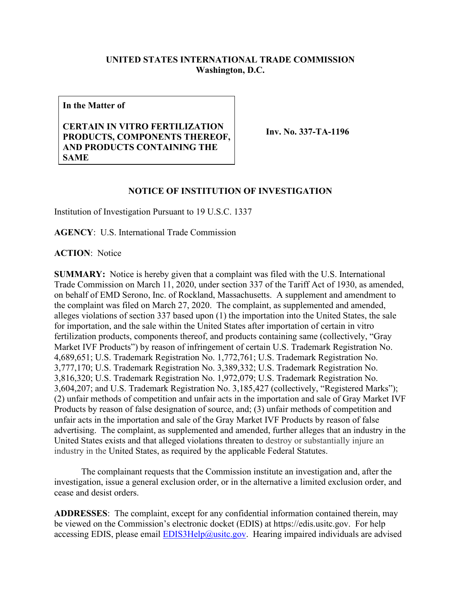## **UNITED STATES INTERNATIONAL TRADE COMMISSION Washington, D.C.**

**In the Matter of**

## **CERTAIN IN VITRO FERTILIZATION PRODUCTS, COMPONENTS THEREOF, AND PRODUCTS CONTAINING THE SAME**

**Inv. No. 337-TA-1196**

## **NOTICE OF INSTITUTION OF INVESTIGATION**

Institution of Investigation Pursuant to 19 U.S.C. 1337

**AGENCY**: U.S. International Trade Commission

**ACTION**: Notice

**SUMMARY:** Notice is hereby given that a complaint was filed with the U.S. International Trade Commission on March 11, 2020, under section 337 of the Tariff Act of 1930, as amended, on behalf of EMD Serono, Inc. of Rockland, Massachusetts. A supplement and amendment to the complaint was filed on March 27, 2020. The complaint, as supplemented and amended, alleges violations of section 337 based upon (1) the importation into the United States, the sale for importation, and the sale within the United States after importation of certain in vitro fertilization products, components thereof, and products containing same (collectively, "Gray Market IVF Products") by reason of infringement of certain U.S. Trademark Registration No. 4,689,651; U.S. Trademark Registration No. 1,772,761; U.S. Trademark Registration No. 3,777,170; U.S. Trademark Registration No. 3,389,332; U.S. Trademark Registration No. 3,816,320; U.S. Trademark Registration No. 1,972,079; U.S. Trademark Registration No. 3,604,207; and U.S. Trademark Registration No. 3,185,427 (collectively, "Registered Marks"); (2) unfair methods of competition and unfair acts in the importation and sale of Gray Market IVF Products by reason of false designation of source, and; (3) unfair methods of competition and unfair acts in the importation and sale of the Gray Market IVF Products by reason of false advertising. The complaint, as supplemented and amended, further alleges that an industry in the United States exists and that alleged violations threaten to destroy or substantially injure an industry in the United States, as required by the applicable Federal Statutes.

The complainant requests that the Commission institute an investigation and, after the investigation, issue a general exclusion order, or in the alternative a limited exclusion order, and cease and desist orders.

**ADDRESSES**: The complaint, except for any confidential information contained therein, may be viewed on the Commission's electronic docket (EDIS) at https://edis.usitc.gov. For help accessing EDIS, please email  $EDIS3Help@usite.gov$ . Hearing impaired individuals are advised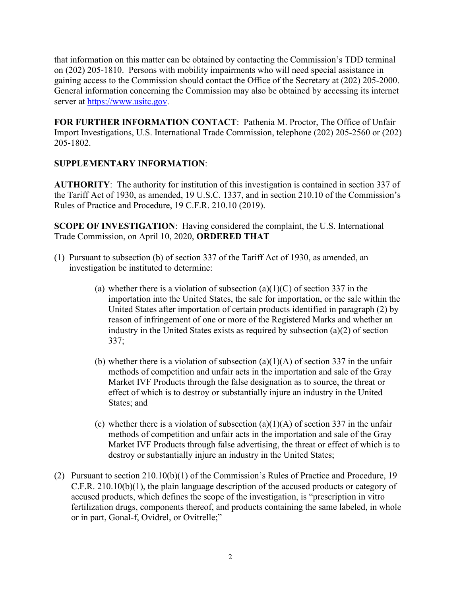that information on this matter can be obtained by contacting the Commission's TDD terminal on (202) 205-1810. Persons with mobility impairments who will need special assistance in gaining access to the Commission should contact the Office of the Secretary at (202) 205-2000. General information concerning the Commission may also be obtained by accessing its internet server at [https://www.usitc.gov.](https://www.usitc.gov/)

**FOR FURTHER INFORMATION CONTACT**: Pathenia M. Proctor, The Office of Unfair Import Investigations, U.S. International Trade Commission, telephone (202) 205-2560 or (202) 205-1802.

## **SUPPLEMENTARY INFORMATION**:

**AUTHORITY**: The authority for institution of this investigation is contained in section 337 of the Tariff Act of 1930, as amended, 19 U.S.C. 1337, and in section 210.10 of the Commission's Rules of Practice and Procedure, 19 C.F.R. 210.10 (2019).

**SCOPE OF INVESTIGATION**: Having considered the complaint, the U.S. International Trade Commission, on April 10, 2020, **ORDERED THAT** –

- (1) Pursuant to subsection (b) of section 337 of the Tariff Act of 1930, as amended, an investigation be instituted to determine:
	- (a) whether there is a violation of subsection  $(a)(1)(C)$  of section 337 in the importation into the United States, the sale for importation, or the sale within the United States after importation of certain products identified in paragraph (2) by reason of infringement of one or more of the Registered Marks and whether an industry in the United States exists as required by subsection (a)(2) of section 337;
	- (b) whether there is a violation of subsection  $(a)(1)(A)$  of section 337 in the unfair methods of competition and unfair acts in the importation and sale of the Gray Market IVF Products through the false designation as to source, the threat or effect of which is to destroy or substantially injure an industry in the United States; and
	- (c) whether there is a violation of subsection  $(a)(1)(A)$  of section 337 in the unfair methods of competition and unfair acts in the importation and sale of the Gray Market IVF Products through false advertising, the threat or effect of which is to destroy or substantially injure an industry in the United States;
- (2) Pursuant to section 210.10(b)(1) of the Commission's Rules of Practice and Procedure, 19 C.F.R. 210.10(b)(1), the plain language description of the accused products or category of accused products, which defines the scope of the investigation, is "prescription in vitro fertilization drugs, components thereof, and products containing the same labeled, in whole or in part, Gonal-f, Ovidrel, or Ovitrelle;"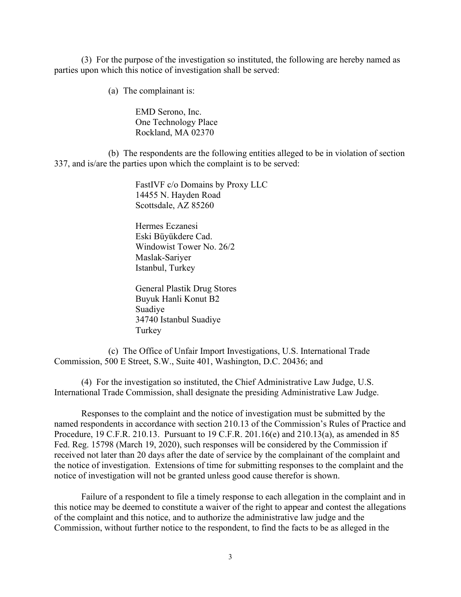(3) For the purpose of the investigation so instituted, the following are hereby named as parties upon which this notice of investigation shall be served:

(a) The complainant is:

EMD Serono, Inc. One Technology Place Rockland, MA 02370

(b) The respondents are the following entities alleged to be in violation of section 337, and is/are the parties upon which the complaint is to be served:

> FastIVF c/o Domains by Proxy LLC 14455 N. Hayden Road Scottsdale, AZ 85260

Hermes Eczanesi Eski Büyükdere Cad. Windowist Tower No. 26/2 Maslak-Sariyer Istanbul, Turkey

General Plastik Drug Stores Buyuk Hanli Konut B2 Suadiye 34740 Istanbul Suadiye Turkey

(c) The Office of Unfair Import Investigations, U.S. International Trade Commission, 500 E Street, S.W., Suite 401, Washington, D.C. 20436; and

(4) For the investigation so instituted, the Chief Administrative Law Judge, U.S. International Trade Commission, shall designate the presiding Administrative Law Judge.

Responses to the complaint and the notice of investigation must be submitted by the named respondents in accordance with section 210.13 of the Commission's Rules of Practice and Procedure, 19 C.F.R. 210.13. Pursuant to 19 C.F.R. 201.16(e) and 210.13(a), as amended in 85 Fed. Reg. 15798 (March 19, 2020), such responses will be considered by the Commission if received not later than 20 days after the date of service by the complainant of the complaint and the notice of investigation. Extensions of time for submitting responses to the complaint and the notice of investigation will not be granted unless good cause therefor is shown.

Failure of a respondent to file a timely response to each allegation in the complaint and in this notice may be deemed to constitute a waiver of the right to appear and contest the allegations of the complaint and this notice, and to authorize the administrative law judge and the Commission, without further notice to the respondent, to find the facts to be as alleged in the